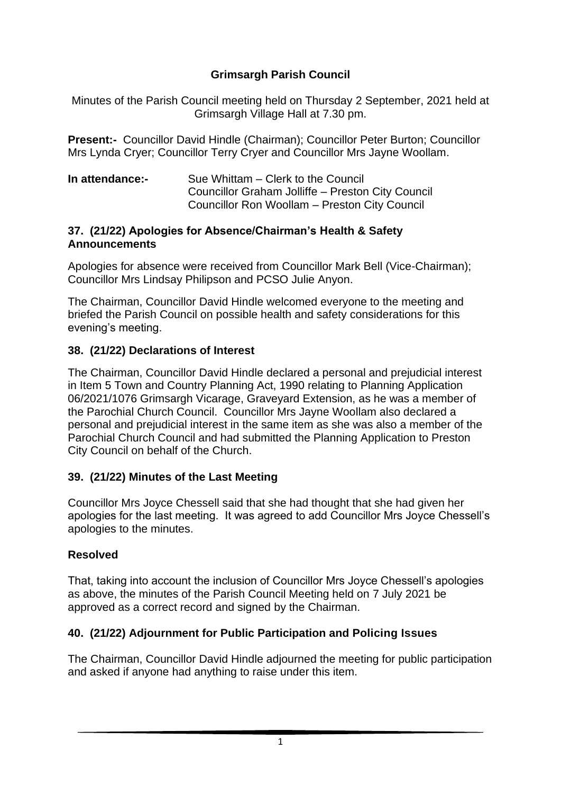### **Grimsargh Parish Council**

Minutes of the Parish Council meeting held on Thursday 2 September, 2021 held at Grimsargh Village Hall at 7.30 pm.

**Present:-** Councillor David Hindle (Chairman); Councillor Peter Burton; Councillor Mrs Lynda Cryer; Councillor Terry Cryer and Councillor Mrs Jayne Woollam.

| In attendance:- | Sue Whittam – Clerk to the Council                |
|-----------------|---------------------------------------------------|
|                 | Councillor Graham Jolliffe - Preston City Council |
|                 | Councillor Ron Woollam - Preston City Council     |

#### **37. (21/22) Apologies for Absence/Chairman's Health & Safety Announcements**

Apologies for absence were received from Councillor Mark Bell (Vice-Chairman); Councillor Mrs Lindsay Philipson and PCSO Julie Anyon.

The Chairman, Councillor David Hindle welcomed everyone to the meeting and briefed the Parish Council on possible health and safety considerations for this evening's meeting.

#### **38. (21/22) Declarations of Interest**

The Chairman, Councillor David Hindle declared a personal and prejudicial interest in Item 5 Town and Country Planning Act, 1990 relating to Planning Application 06/2021/1076 Grimsargh Vicarage, Graveyard Extension, as he was a member of the Parochial Church Council. Councillor Mrs Jayne Woollam also declared a personal and prejudicial interest in the same item as she was also a member of the Parochial Church Council and had submitted the Planning Application to Preston City Council on behalf of the Church.

#### **39. (21/22) Minutes of the Last Meeting**

Councillor Mrs Joyce Chessell said that she had thought that she had given her apologies for the last meeting. It was agreed to add Councillor Mrs Joyce Chessell's apologies to the minutes.

#### **Resolved**

That, taking into account the inclusion of Councillor Mrs Joyce Chessell's apologies as above, the minutes of the Parish Council Meeting held on 7 July 2021 be approved as a correct record and signed by the Chairman.

#### **40. (21/22) Adjournment for Public Participation and Policing Issues**

The Chairman, Councillor David Hindle adjourned the meeting for public participation and asked if anyone had anything to raise under this item.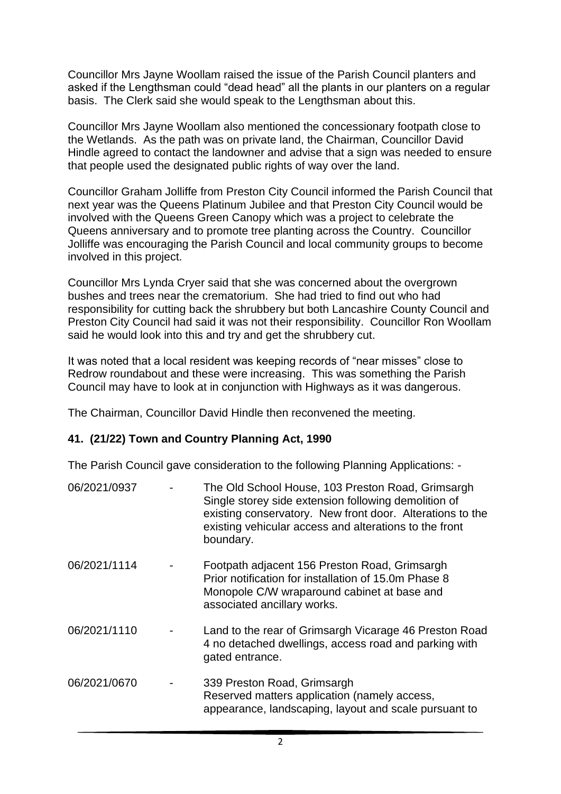Councillor Mrs Jayne Woollam raised the issue of the Parish Council planters and asked if the Lengthsman could "dead head" all the plants in our planters on a regular basis. The Clerk said she would speak to the Lengthsman about this.

Councillor Mrs Jayne Woollam also mentioned the concessionary footpath close to the Wetlands. As the path was on private land, the Chairman, Councillor David Hindle agreed to contact the landowner and advise that a sign was needed to ensure that people used the designated public rights of way over the land.

Councillor Graham Jolliffe from Preston City Council informed the Parish Council that next year was the Queens Platinum Jubilee and that Preston City Council would be involved with the Queens Green Canopy which was a project to celebrate the Queens anniversary and to promote tree planting across the Country. Councillor Jolliffe was encouraging the Parish Council and local community groups to become involved in this project.

Councillor Mrs Lynda Cryer said that she was concerned about the overgrown bushes and trees near the crematorium. She had tried to find out who had responsibility for cutting back the shrubbery but both Lancashire County Council and Preston City Council had said it was not their responsibility. Councillor Ron Woollam said he would look into this and try and get the shrubbery cut.

It was noted that a local resident was keeping records of "near misses" close to Redrow roundabout and these were increasing. This was something the Parish Council may have to look at in conjunction with Highways as it was dangerous.

The Chairman, Councillor David Hindle then reconvened the meeting.

#### **41. (21/22) Town and Country Planning Act, 1990**

The Parish Council gave consideration to the following Planning Applications: -

| 06/2021/0937 | The Old School House, 103 Preston Road, Grimsargh<br>Single storey side extension following demolition of<br>existing conservatory. New front door. Alterations to the<br>existing vehicular access and alterations to the front<br>boundary. |
|--------------|-----------------------------------------------------------------------------------------------------------------------------------------------------------------------------------------------------------------------------------------------|
| 06/2021/1114 | Footpath adjacent 156 Preston Road, Grimsargh<br>Prior notification for installation of 15.0m Phase 8<br>Monopole C/W wraparound cabinet at base and<br>associated ancillary works.                                                           |
| 06/2021/1110 | Land to the rear of Grimsargh Vicarage 46 Preston Road<br>4 no detached dwellings, access road and parking with<br>gated entrance.                                                                                                            |
| 06/2021/0670 | 339 Preston Road, Grimsargh<br>Reserved matters application (namely access,<br>appearance, landscaping, layout and scale pursuant to                                                                                                          |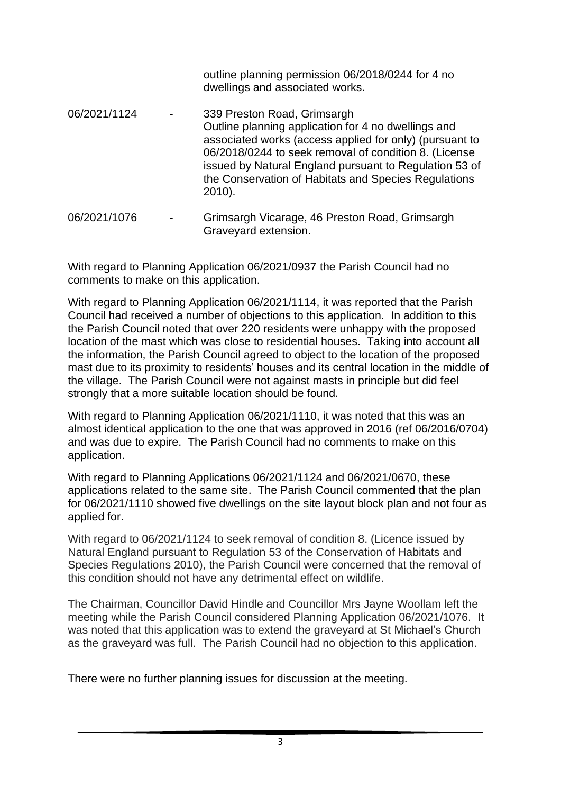|              | outline planning permission 06/2018/0244 for 4 no<br>dwellings and associated works.                                                                                                                                                                                                                                                  |
|--------------|---------------------------------------------------------------------------------------------------------------------------------------------------------------------------------------------------------------------------------------------------------------------------------------------------------------------------------------|
| 06/2021/1124 | 339 Preston Road, Grimsargh<br>Outline planning application for 4 no dwellings and<br>associated works (access applied for only) (pursuant to<br>06/2018/0244 to seek removal of condition 8. (License<br>issued by Natural England pursuant to Regulation 53 of<br>the Conservation of Habitats and Species Regulations<br>$2010$ ). |
| 06/2021/1076 | Grimsargh Vicarage, 46 Preston Road, Grimsargh<br>Graveyard extension.                                                                                                                                                                                                                                                                |

With regard to Planning Application 06/2021/0937 the Parish Council had no comments to make on this application.

With regard to Planning Application 06/2021/1114, it was reported that the Parish Council had received a number of objections to this application. In addition to this the Parish Council noted that over 220 residents were unhappy with the proposed location of the mast which was close to residential houses. Taking into account all the information, the Parish Council agreed to object to the location of the proposed mast due to its proximity to residents' houses and its central location in the middle of the village. The Parish Council were not against masts in principle but did feel strongly that a more suitable location should be found.

With regard to Planning Application 06/2021/1110, it was noted that this was an almost identical application to the one that was approved in 2016 (ref 06/2016/0704) and was due to expire. The Parish Council had no comments to make on this application.

With regard to Planning Applications 06/2021/1124 and 06/2021/0670, these applications related to the same site. The Parish Council commented that the plan for 06/2021/1110 showed five dwellings on the site layout block plan and not four as applied for.

With regard to 06/2021/1124 to seek removal of condition 8. (Licence issued by Natural England pursuant to Regulation 53 of the Conservation of Habitats and Species Regulations 2010), the Parish Council were concerned that the removal of this condition should not have any detrimental effect on wildlife.

The Chairman, Councillor David Hindle and Councillor Mrs Jayne Woollam left the meeting while the Parish Council considered Planning Application 06/2021/1076. It was noted that this application was to extend the graveyard at St Michael's Church as the graveyard was full. The Parish Council had no objection to this application.

There were no further planning issues for discussion at the meeting.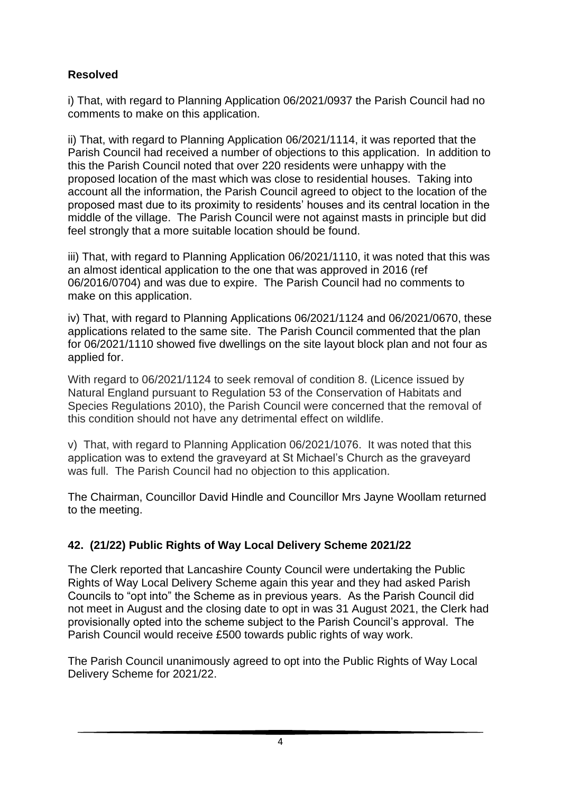# **Resolved**

i) That, with regard to Planning Application 06/2021/0937 the Parish Council had no comments to make on this application.

ii) That, with regard to Planning Application 06/2021/1114, it was reported that the Parish Council had received a number of objections to this application. In addition to this the Parish Council noted that over 220 residents were unhappy with the proposed location of the mast which was close to residential houses. Taking into account all the information, the Parish Council agreed to object to the location of the proposed mast due to its proximity to residents' houses and its central location in the middle of the village. The Parish Council were not against masts in principle but did feel strongly that a more suitable location should be found.

iii) That, with regard to Planning Application 06/2021/1110, it was noted that this was an almost identical application to the one that was approved in 2016 (ref 06/2016/0704) and was due to expire. The Parish Council had no comments to make on this application.

iv) That, with regard to Planning Applications 06/2021/1124 and 06/2021/0670, these applications related to the same site. The Parish Council commented that the plan for 06/2021/1110 showed five dwellings on the site layout block plan and not four as applied for.

With regard to 06/2021/1124 to seek removal of condition 8. (Licence issued by Natural England pursuant to Regulation 53 of the Conservation of Habitats and Species Regulations 2010), the Parish Council were concerned that the removal of this condition should not have any detrimental effect on wildlife.

v) That, with regard to Planning Application 06/2021/1076. It was noted that this application was to extend the graveyard at St Michael's Church as the graveyard was full. The Parish Council had no objection to this application.

The Chairman, Councillor David Hindle and Councillor Mrs Jayne Woollam returned to the meeting.

### **42. (21/22) Public Rights of Way Local Delivery Scheme 2021/22**

The Clerk reported that Lancashire County Council were undertaking the Public Rights of Way Local Delivery Scheme again this year and they had asked Parish Councils to "opt into" the Scheme as in previous years. As the Parish Council did not meet in August and the closing date to opt in was 31 August 2021, the Clerk had provisionally opted into the scheme subject to the Parish Council's approval. The Parish Council would receive £500 towards public rights of way work.

The Parish Council unanimously agreed to opt into the Public Rights of Way Local Delivery Scheme for 2021/22.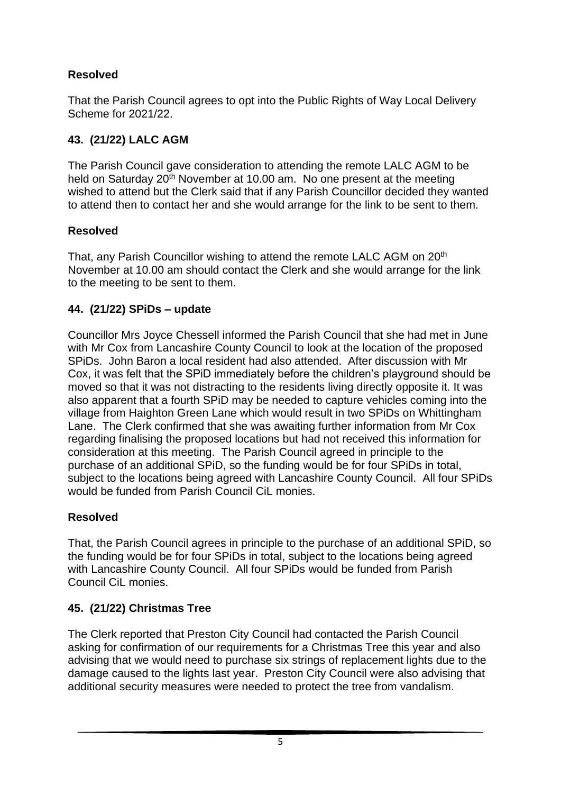# **Resolved**

That the Parish Council agrees to opt into the Public Rights of Way Local Delivery Scheme for 2021/22.

# **43. (21/22) LALC AGM**

The Parish Council gave consideration to attending the remote LALC AGM to be held on Saturday 20<sup>th</sup> November at 10.00 am. No one present at the meeting wished to attend but the Clerk said that if any Parish Councillor decided they wanted to attend then to contact her and she would arrange for the link to be sent to them.

### **Resolved**

That, any Parish Councillor wishing to attend the remote LALC AGM on 20<sup>th</sup> November at 10.00 am should contact the Clerk and she would arrange for the link to the meeting to be sent to them.

# **44. (21/22) SPiDs – update**

Councillor Mrs Joyce Chessell informed the Parish Council that she had met in June with Mr Cox from Lancashire County Council to look at the location of the proposed SPiDs. John Baron a local resident had also attended. After discussion with Mr Cox, it was felt that the SPiD immediately before the children's playground should be moved so that it was not distracting to the residents living directly opposite it. It was also apparent that a fourth SPiD may be needed to capture vehicles coming into the village from Haighton Green Lane which would result in two SPiDs on Whittingham Lane. The Clerk confirmed that she was awaiting further information from Mr Cox regarding finalising the proposed locations but had not received this information for consideration at this meeting. The Parish Council agreed in principle to the purchase of an additional SPiD, so the funding would be for four SPiDs in total, subject to the locations being agreed with Lancashire County Council. All four SPiDs would be funded from Parish Council CiL monies.

### **Resolved**

That, the Parish Council agrees in principle to the purchase of an additional SPiD, so the funding would be for four SPiDs in total, subject to the locations being agreed with Lancashire County Council. All four SPiDs would be funded from Parish Council CiL monies.

# **45. (21/22) Christmas Tree**

The Clerk reported that Preston City Council had contacted the Parish Council asking for confirmation of our requirements for a Christmas Tree this year and also advising that we would need to purchase six strings of replacement lights due to the damage caused to the lights last year. Preston City Council were also advising that additional security measures were needed to protect the tree from vandalism.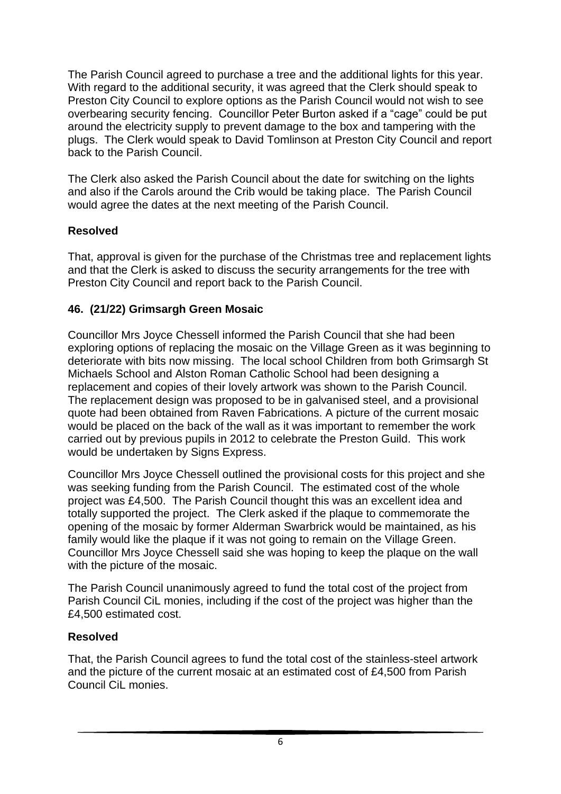The Parish Council agreed to purchase a tree and the additional lights for this year. With regard to the additional security, it was agreed that the Clerk should speak to Preston City Council to explore options as the Parish Council would not wish to see overbearing security fencing. Councillor Peter Burton asked if a "cage" could be put around the electricity supply to prevent damage to the box and tampering with the plugs. The Clerk would speak to David Tomlinson at Preston City Council and report back to the Parish Council.

The Clerk also asked the Parish Council about the date for switching on the lights and also if the Carols around the Crib would be taking place. The Parish Council would agree the dates at the next meeting of the Parish Council.

### **Resolved**

That, approval is given for the purchase of the Christmas tree and replacement lights and that the Clerk is asked to discuss the security arrangements for the tree with Preston City Council and report back to the Parish Council.

### **46. (21/22) Grimsargh Green Mosaic**

Councillor Mrs Joyce Chessell informed the Parish Council that she had been exploring options of replacing the mosaic on the Village Green as it was beginning to deteriorate with bits now missing. The local school Children from both Grimsargh St Michaels School and Alston Roman Catholic School had been designing a replacement and copies of their lovely artwork was shown to the Parish Council. The replacement design was proposed to be in galvanised steel, and a provisional quote had been obtained from Raven Fabrications. A picture of the current mosaic would be placed on the back of the wall as it was important to remember the work carried out by previous pupils in 2012 to celebrate the Preston Guild. This work would be undertaken by Signs Express.

Councillor Mrs Joyce Chessell outlined the provisional costs for this project and she was seeking funding from the Parish Council. The estimated cost of the whole project was £4,500. The Parish Council thought this was an excellent idea and totally supported the project. The Clerk asked if the plaque to commemorate the opening of the mosaic by former Alderman Swarbrick would be maintained, as his family would like the plaque if it was not going to remain on the Village Green. Councillor Mrs Joyce Chessell said she was hoping to keep the plaque on the wall with the picture of the mosaic.

The Parish Council unanimously agreed to fund the total cost of the project from Parish Council CiL monies, including if the cost of the project was higher than the £4,500 estimated cost.

#### **Resolved**

That, the Parish Council agrees to fund the total cost of the stainless-steel artwork and the picture of the current mosaic at an estimated cost of £4,500 from Parish Council CiL monies.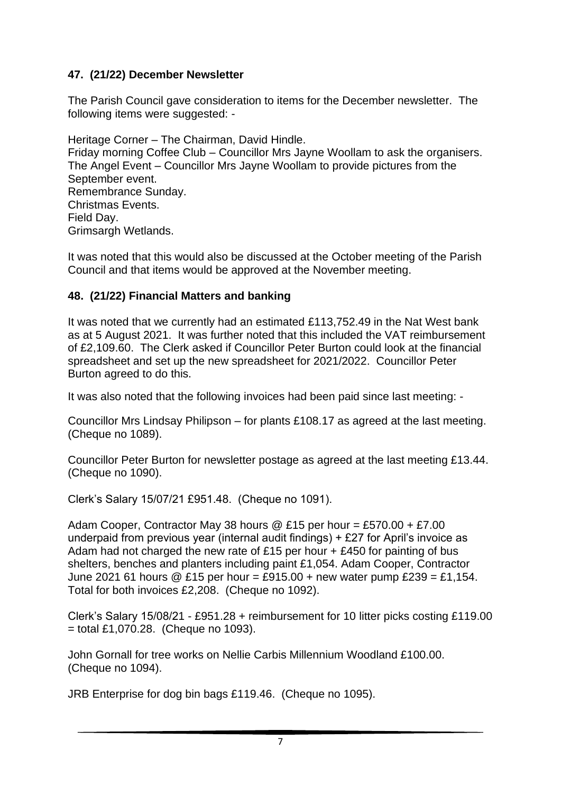### **47. (21/22) December Newsletter**

The Parish Council gave consideration to items for the December newsletter. The following items were suggested: -

Heritage Corner – The Chairman, David Hindle. Friday morning Coffee Club – Councillor Mrs Jayne Woollam to ask the organisers. The Angel Event – Councillor Mrs Jayne Woollam to provide pictures from the September event. Remembrance Sunday. Christmas Events. Field Day. Grimsargh Wetlands.

It was noted that this would also be discussed at the October meeting of the Parish Council and that items would be approved at the November meeting.

#### **48. (21/22) Financial Matters and banking**

It was noted that we currently had an estimated £113,752.49 in the Nat West bank as at 5 August 2021. It was further noted that this included the VAT reimbursement of £2,109.60. The Clerk asked if Councillor Peter Burton could look at the financial spreadsheet and set up the new spreadsheet for 2021/2022. Councillor Peter Burton agreed to do this.

It was also noted that the following invoices had been paid since last meeting: -

Councillor Mrs Lindsay Philipson – for plants £108.17 as agreed at the last meeting. (Cheque no 1089).

Councillor Peter Burton for newsletter postage as agreed at the last meeting £13.44. (Cheque no 1090).

Clerk's Salary 15/07/21 £951.48. (Cheque no 1091).

Adam Cooper, Contractor May 38 hours  $\textcircled{e}$  £15 per hour = £570.00 + £7.00 underpaid from previous year (internal audit findings) + £27 for April's invoice as Adam had not charged the new rate of £15 per hour + £450 for painting of bus shelters, benches and planters including paint £1,054. Adam Cooper, Contractor June 2021 61 hours  $\textcircled{2}$  £15 per hour = £915.00 + new water pump £239 = £1,154. Total for both invoices £2,208. (Cheque no 1092).

Clerk's Salary 15/08/21 - £951.28 + reimbursement for 10 litter picks costing £119.00  $=$  total £1,070.28. (Cheque no 1093).

John Gornall for tree works on Nellie Carbis Millennium Woodland £100.00. (Cheque no 1094).

JRB Enterprise for dog bin bags £119.46. (Cheque no 1095).